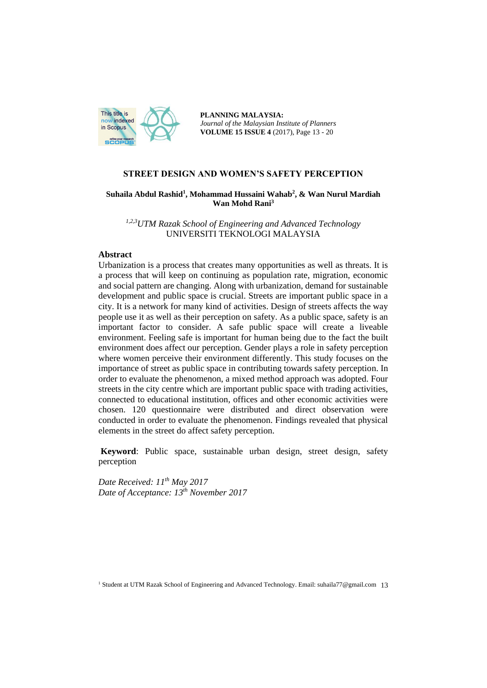

**PLANNING MALAYSIA:** *Journal of the Malaysian Institute of Planners* **VOLUME 15 ISSUE 4** (2017), Page 13 - 20

# **STREET DESIGN AND WOMEN'S SAFETY PERCEPTION**

# **Suhaila Abdul Rashid<sup>1</sup> , Mohammad Hussaini Wahab<sup>2</sup> , & Wan Nurul Mardiah Wan Mohd Rani<sup>3</sup>**

*1,2,3UTM Razak School of Engineering and Advanced Technology* UNIVERSITI TEKNOLOGI MALAYSIA

### **Abstract**

Urbanization is a process that creates many opportunities as well as threats. It is a process that will keep on continuing as population rate, migration, economic and social pattern are changing. Along with urbanization, demand for sustainable development and public space is crucial. Streets are important public space in a city. It is a network for many kind of activities. Design of streets affects the way people use it as well as their perception on safety. As a public space, safety is an important factor to consider. A safe public space will create a liveable environment. Feeling safe is important for human being due to the fact the built environment does affect our perception. Gender plays a role in safety perception where women perceive their environment differently. This study focuses on the importance of street as public space in contributing towards safety perception. In order to evaluate the phenomenon, a mixed method approach was adopted. Four streets in the city centre which are important public space with trading activities, connected to educational institution, offices and other economic activities were chosen. 120 questionnaire were distributed and direct observation were conducted in order to evaluate the phenomenon. Findings revealed that physical elements in the street do affect safety perception.

**Keyword**: Public space, sustainable urban design, street design, safety perception

*Date Received: 11 th May 2017 Date of Acceptance: 13th November 2017*

<sup>&</sup>lt;sup>1</sup> Student at UTM Razak School of Engineering and Advanced Technology. Email: suhaila77@gmail.com 13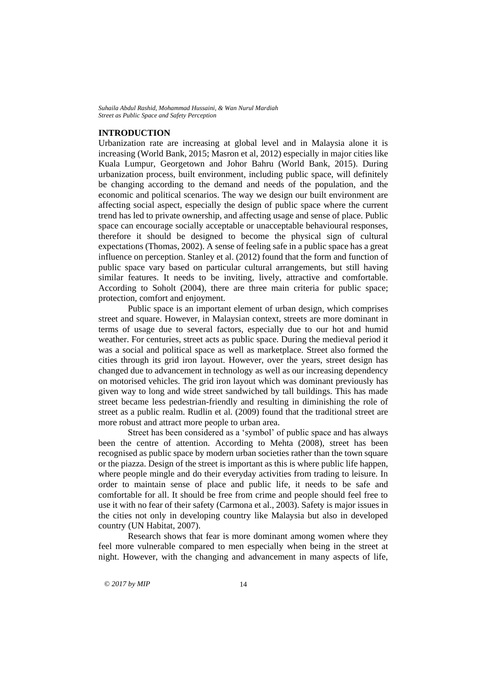## **INTRODUCTION**

Urbanization rate are increasing at global level and in Malaysia alone it is increasing (World Bank, 2015; Masron et al, 2012) especially in major cities like Kuala Lumpur, Georgetown and Johor Bahru (World Bank, 2015). During urbanization process, built environment, including public space, will definitely be changing according to the demand and needs of the population, and the economic and political scenarios. The way we design our built environment are affecting social aspect, especially the design of public space where the current trend has led to private ownership, and affecting usage and sense of place. Public space can encourage socially acceptable or unacceptable behavioural responses, therefore it should be designed to become the physical sign of cultural expectations (Thomas, 2002). A sense of feeling safe in a public space has a great influence on perception. Stanley et al. (2012) found that the form and function of public space vary based on particular cultural arrangements, but still having similar features. It needs to be inviting, lively, attractive and comfortable. According to Soholt (2004), there are three main criteria for public space; protection, comfort and enjoyment.

Public space is an important element of urban design, which comprises street and square. However, in Malaysian context, streets are more dominant in terms of usage due to several factors, especially due to our hot and humid weather. For centuries, street acts as public space. During the medieval period it was a social and political space as well as marketplace. Street also formed the cities through its grid iron layout. However, over the years, street design has changed due to advancement in technology as well as our increasing dependency on motorised vehicles. The grid iron layout which was dominant previously has given way to long and wide street sandwiched by tall buildings. This has made street became less pedestrian-friendly and resulting in diminishing the role of street as a public realm. Rudlin et al. (2009) found that the traditional street are more robust and attract more people to urban area.

Street has been considered as a 'symbol' of public space and has always been the centre of attention. According to Mehta (2008), street has been recognised as public space by modern urban societies rather than the town square or the piazza. Design of the street is important as this is where public life happen, where people mingle and do their everyday activities from trading to leisure. In order to maintain sense of place and public life, it needs to be safe and comfortable for all. It should be free from crime and people should feel free to use it with no fear of their safety (Carmona et al., 2003). Safety is major issues in the cities not only in developing country like Malaysia but also in developed country (UN Habitat, 2007).

Research shows that fear is more dominant among women where they feel more vulnerable compared to men especially when being in the street at night. However, with the changing and advancement in many aspects of life,

© *2017 by MIP* 14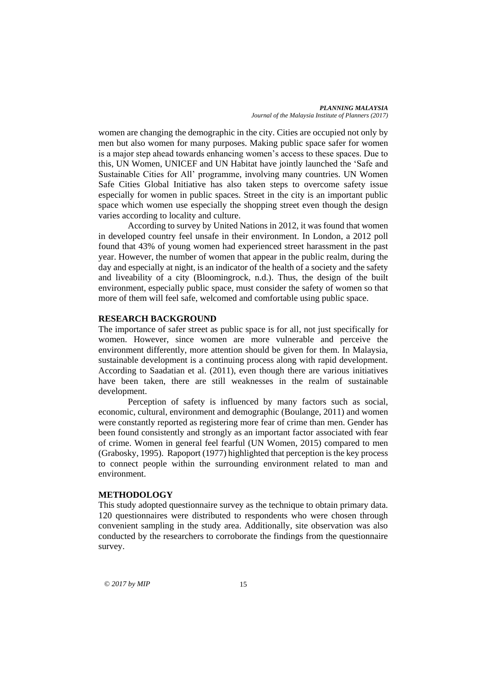*PLANNING MALAYSIA Journal of the Malaysia Institute of Planners (2017)*

women are changing the demographic in the city. Cities are occupied not only by men but also women for many purposes. Making public space safer for women is a major step ahead towards enhancing women's access to these spaces. Due to this, UN Women, UNICEF and UN Habitat have jointly launched the 'Safe and Sustainable Cities for All' programme, involving many countries. UN Women Safe Cities Global Initiative has also taken steps to overcome safety issue especially for women in public spaces. Street in the city is an important public space which women use especially the shopping street even though the design varies according to locality and culture.

According to survey by United Nations in 2012, it was found that women in developed country feel unsafe in their environment. In London, a 2012 poll found that 43% of young women had experienced street harassment in the past year. However, the number of women that appear in the public realm, during the day and especially at night, is an indicator of the health of a society and the safety and liveability of a city (Bloomingrock, n.d.). Thus, the design of the built environment, especially public space, must consider the safety of women so that more of them will feel safe, welcomed and comfortable using public space.

# **RESEARCH BACKGROUND**

The importance of safer street as public space is for all, not just specifically for women. However, since women are more vulnerable and perceive the environment differently, more attention should be given for them. In Malaysia, sustainable development is a continuing process along with rapid development. According to Saadatian et al. (2011), even though there are various initiatives have been taken, there are still weaknesses in the realm of sustainable development.

Perception of safety is influenced by many factors such as social, economic, cultural, environment and demographic (Boulange, 2011) and women were constantly reported as registering more fear of crime than men. Gender has been found consistently and strongly as an important factor associated with fear of crime. Women in general feel fearful (UN Women, 2015) compared to men (Grabosky, 1995). Rapoport (1977) highlighted that perception is the key process to connect people within the surrounding environment related to man and environment.

#### **METHODOLOGY**

This study adopted questionnaire survey as the technique to obtain primary data. 120 questionnaires were distributed to respondents who were chosen through convenient sampling in the study area. Additionally, site observation was also conducted by the researchers to corroborate the findings from the questionnaire survey.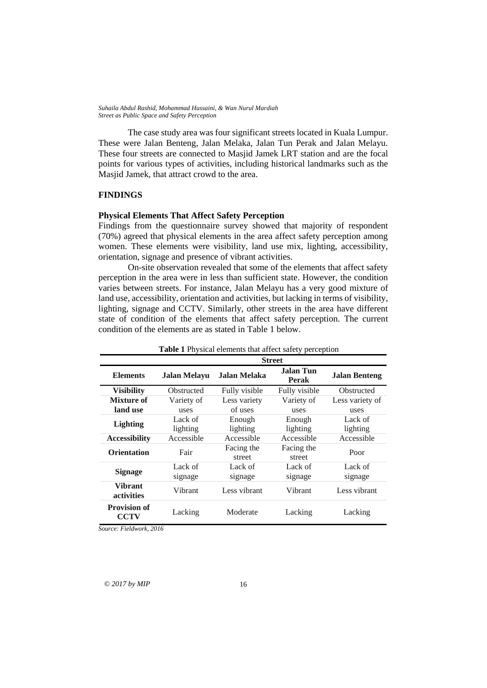The case study area was four significant streets located in Kuala Lumpur. These were Jalan Benteng, Jalan Melaka, Jalan Tun Perak and Jalan Melayu. These four streets are connected to Masjid Jamek LRT station and are the focal points for various types of activities, including historical landmarks such as the Masjid Jamek, that attract crowd to the area.

# **FINDINGS**

### **Physical Elements That Affect Safety Perception**

Findings from the questionnaire survey showed that majority of respondent (70%) agreed that physical elements in the area affect safety perception among women. These elements were visibility, land use mix, lighting, accessibility, orientation, signage and presence of vibrant activities.

On-site observation revealed that some of the elements that affect safety perception in the area were in less than sufficient state. However, the condition varies between streets. For instance, Jalan Melayu has a very good mixture of land use, accessibility, orientation and activities, but lacking in terms of visibility, lighting, signage and CCTV. Similarly, other streets in the area have different state of condition of the elements that affect safety perception. The current condition of the elements are as stated in Table 1 below.

| Table 1 Physical elements that affect safety perception |               |                      |                                  |                      |  |
|---------------------------------------------------------|---------------|----------------------|----------------------------------|----------------------|--|
|                                                         | <b>Street</b> |                      |                                  |                      |  |
| <b>Elements</b>                                         | Jalan Melayu  | Jalan Melaka         | <b>Jalan Tun</b><br><b>Perak</b> | <b>Jalan Benteng</b> |  |
| <b>Visibility</b>                                       | Obstructed    | Fully visible        | Fully visible                    | Obstructed           |  |
| Mixture of                                              | Variety of    | Less variety         | Variety of                       | Less variety of      |  |
| land use                                                | uses          | of uses              | uses                             | uses                 |  |
| <b>Lighting</b>                                         | Lack of       | Enough               | Enough                           | Lack of              |  |
|                                                         | lighting      | lighting             | lighting                         | lighting             |  |
| <b>Accessibility</b>                                    | Accessible    | Accessible           | Accessible                       | Accessible           |  |
| <b>Orientation</b>                                      | Fair          | Facing the<br>street | Facing the<br>street             | Poor                 |  |
| <b>Signage</b>                                          | Lack of       | Lack of              | Lack of                          | Lack of              |  |
|                                                         | signage       | signage              | signage                          | signage              |  |
| <b>Vibrant</b><br>activities                            | Vibrant       | Less vibrant         | Vibrant                          | Less vibrant         |  |
| <b>Provision of</b><br><b>CCTV</b>                      | Lacking       | Moderate             | Lacking                          | Lacking              |  |

*Source: Fieldwork, 2016*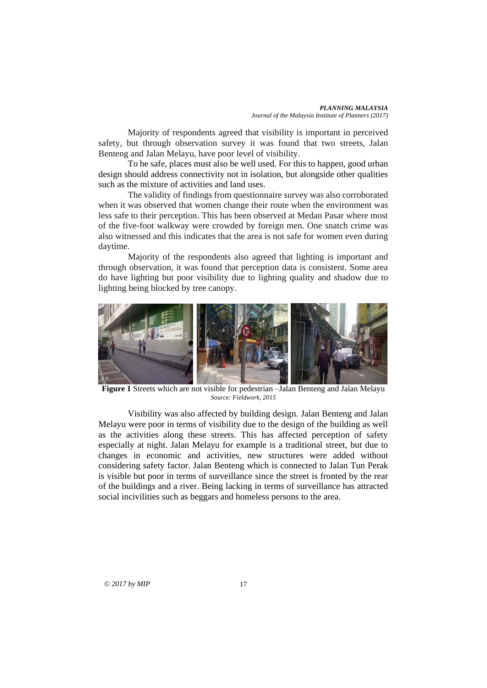#### *PLANNING MALAYSIA Journal of the Malaysia Institute of Planners (2017)*

Majority of respondents agreed that visibility is important in perceived safety, but through observation survey it was found that two streets, Jalan Benteng and Jalan Melayu, have poor level of visibility.

To be safe, places must also be well used. For this to happen, good urban design should address connectivity not in isolation, but alongside other qualities such as the mixture of activities and land uses.

The validity of findings from questionnaire survey was also corroborated when it was observed that women change their route when the environment was less safe to their perception. This has been observed at Medan Pasar where most of the five-foot walkway were crowded by foreign men. One snatch crime was also witnessed and this indicates that the area is not safe for women even during daytime.

Majority of the respondents also agreed that lighting is important and through observation, it was found that perception data is consistent. Some area do have lighting but poor visibility due to lighting quality and shadow due to lighting being blocked by tree canopy.



**Figure 1** Streets which are not visible for pedestrian –Jalan Benteng and Jalan Melayu *Source: Fieldwork, 2015*

Visibility was also affected by building design. Jalan Benteng and Jalan Melayu were poor in terms of visibility due to the design of the building as well as the activities along these streets. This has affected perception of safety especially at night. Jalan Melayu for example is a traditional street, but due to changes in economic and activities, new structures were added without considering safety factor. Jalan Benteng which is connected to Jalan Tun Perak is visible but poor in terms of surveillance since the street is fronted by the rear of the buildings and a river. Being lacking in terms of surveillance has attracted social incivilities such as beggars and homeless persons to the area.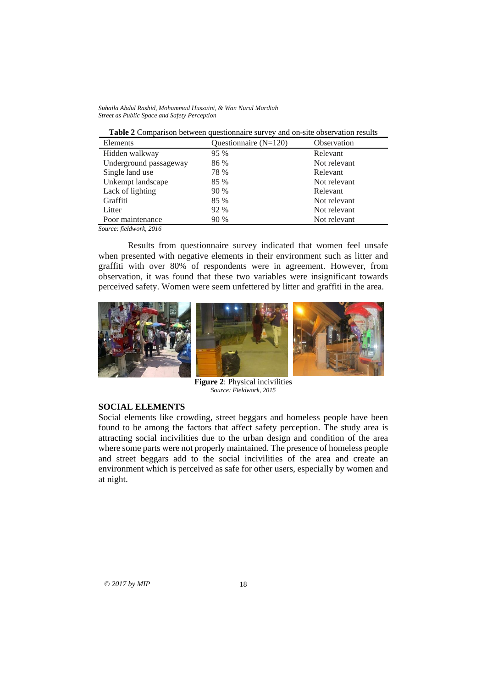| <b>Table 2</b> Comparison between questionnaire survey and on-site observation results |  |  |
|----------------------------------------------------------------------------------------|--|--|
|                                                                                        |  |  |

| Elements               | Questionnaire $(N=120)$ | Observation  |
|------------------------|-------------------------|--------------|
| Hidden walkway         | 95 %                    | Relevant     |
| Underground passageway | 86 %                    | Not relevant |
| Single land use        | 78 %                    | Relevant     |
| Unkempt landscape      | 85 %                    | Not relevant |
| Lack of lighting       | 90 %                    | Relevant     |
| Graffiti               | 85 %                    | Not relevant |
| Litter                 | 92 %                    | Not relevant |
| Poor maintenance       | 90 %                    | Not relevant |

*Source: fieldwork, 2016*

Results from questionnaire survey indicated that women feel unsafe when presented with negative elements in their environment such as litter and graffiti with over 80% of respondents were in agreement. However, from observation, it was found that these two variables were insignificant towards perceived safety. Women were seem unfettered by litter and graffiti in the area.



**Figure 2**: Physical incivilities *Source: Fieldwork, 2015*

# **SOCIAL ELEMENTS**

Social elements like crowding, street beggars and homeless people have been found to be among the factors that affect safety perception. The study area is attracting social incivilities due to the urban design and condition of the area where some parts were not properly maintained. The presence of homeless people and street beggars add to the social incivilities of the area and create an environment which is perceived as safe for other users, especially by women and at night.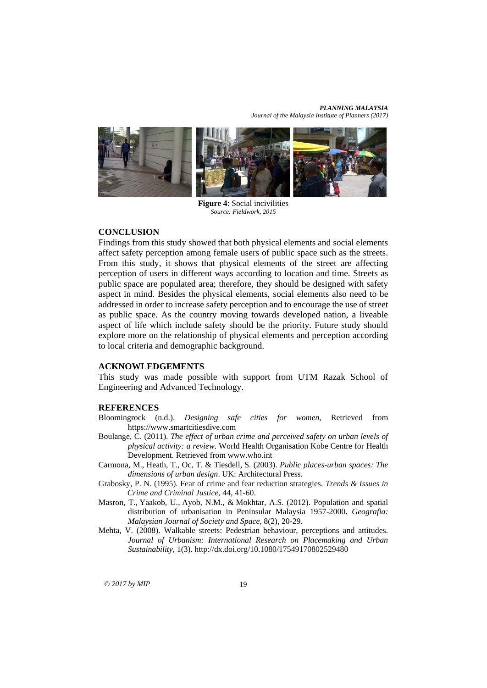#### *PLANNING MALAYSIA Journal of the Malaysia Institute of Planners (2017)*



**Figure 4**: Social incivilities *Source: Fieldwork, 2015*

# **CONCLUSION**

Findings from this study showed that both physical elements and social elements affect safety perception among female users of public space such as the streets. From this study, it shows that physical elements of the street are affecting perception of users in different ways according to location and time. Streets as public space are populated area; therefore, they should be designed with safety aspect in mind. Besides the physical elements, social elements also need to be addressed in order to increase safety perception and to encourage the use of street as public space. As the country moving towards developed nation, a liveable aspect of life which include safety should be the priority. Future study should explore more on the relationship of physical elements and perception according to local criteria and demographic background.

#### **ACKNOWLEDGEMENTS**

This study was made possible with support from UTM Razak School of Engineering and Advanced Technology.

### **REFERENCES**

- Bloomingrock (n.d.). *Designing safe cities for women*, Retrieved from https://www.smartcitiesdive.com
- Boulange, C. (2011). *The effect of urban crime and perceived safety on urban levels of physical activity: a review*. World Health Organisation Kobe Centre for Health Development. Retrieved from www.who.int
- Carmona, M., Heath, T., Oc, T. & Tiesdell, S. (2003). *Public places-urban spaces: The dimensions of urban design*. UK: Architectural Press.
- Grabosky, P. N. (1995). Fear of crime and fear reduction strategies*. Trends & Issues in Crime and Criminal Justice,* 44, 41-60.
- Masron, T., Yaakob, U., Ayob, N.M., & Mokhtar, A.S. (2012). Population and spatial distribution of urbanisation in Peninsular Malaysia 1957-2000**.** *Geografia: Malaysian Journal of Society and Space*, 8(2), 20-29.
- Mehta, V. (2008). Walkable streets: Pedestrian behaviour, perceptions and attitudes. *Journal of Urbanism: International Research on Placemaking and Urban Sustainability*, 1(3). http://dx.doi.org/10.1080/17549170802529480

© *2017 by MIP* 19